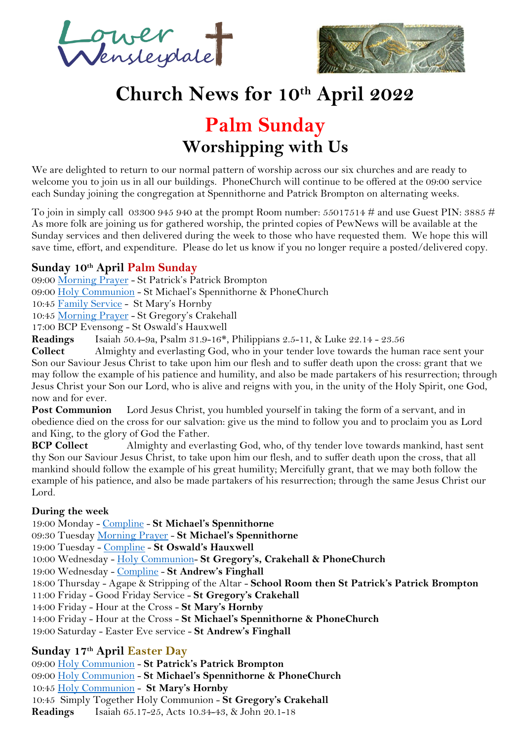ower =<br>Jensteiptale



# **Church News for 10th April 2022**

# **Palm Sunday Worshipping with Us**

We are delighted to return to our normal pattern of worship across our six churches and are ready to welcome you to join us in all our buildings. PhoneChurch will continue to be offered at the 09:00 service each Sunday joining the congregation at Spennithorne and Patrick Brompton on alternating weeks.

To join in simply call 03300 945 940 at the prompt Room number:  $55017514 \#$  and use Guest PIN:  $3885 \#$ As more folk are joining us for gathered worship, the printed copies of PewNews will be available at the Sunday services and then delivered during the week to those who have requested them. We hope this will save time, effort, and expenditure. Please do let us know if you no longer require a posted/delivered copy.

# **Sunday 10th April Palm Sunday**

09:00 [Morning Prayer](https://mcusercontent.com/12899794d9e1699ab1c44b3c6/files/8a93e577-4704-40fb-97a4-2e59f79af6d4/LW_Morning_Prayer.pdf) - St Patrick's Patrick Brompton

09:00 [Holy Communion](https://mcusercontent.com/12899794d9e1699ab1c44b3c6/files/24f353a0-39f8-4141-87ab-38a908e48757/Holy_Communion_Dispora.pdf) - St Michael's Spennithorne & PhoneChurch

10:45 [Family Service](https://mcusercontent.com/12899794d9e1699ab1c44b3c6/files/df82c677-08a5-ace8-1b5f-4735249583e1/Family_Service_2021.pdf) - St Mary's Hornby

10:45 [Morning Prayer](https://mcusercontent.com/12899794d9e1699ab1c44b3c6/files/8a93e577-4704-40fb-97a4-2e59f79af6d4/LW_Morning_Prayer.pdf) - St Gregory's Crakehall

17:00 BCP Evensong - St Oswald's Hauxwell

**Readings** Isaiah 50.4-9a, Psalm 31.9-16\*, Philippians 2.5-11, & Luke 22.14 - 23.56

**Collect** Almighty and everlasting God, who in your tender love towards the human race sent your Son our Saviour Jesus Christ to take upon him our flesh and to suffer death upon the cross: grant that we may follow the example of his patience and humility, and also be made partakers of his resurrection; through Jesus Christ your Son our Lord, who is alive and reigns with you, in the unity of the Holy Spirit, one God, now and for ever.

**Post Communion** Lord Jesus Christ, you humbled yourself in taking the form of a servant, and in obedience died on the cross for our salvation: give us the mind to follow you and to proclaim you as Lord and King, to the glory of God the Father.

**BCP Collect** Almighty and everlasting God, who, of thy tender love towards mankind, hast sent thy Son our Saviour Jesus Christ, to take upon him our flesh, and to suffer death upon the cross, that all mankind should follow the example of his great humility; Mercifully grant, that we may both follow the example of his patience, and also be made partakers of his resurrection; through the same Jesus Christ our Lord.

#### **During the week**

19:00 Monday - [Compline](https://mcusercontent.com/12899794d9e1699ab1c44b3c6/files/c39d2f2b-9d38-45b0-a5a8-9cc81f12d36f/2020_Compline.pdf) - **St Michael's Spennithorne** 09:30 Tuesday [Morning Prayer](https://mcusercontent.com/12899794d9e1699ab1c44b3c6/files/8a93e577-4704-40fb-97a4-2e59f79af6d4/LW_Morning_Prayer.pdf) - **St Michael's Spennithorne** 19:00 Tuesday - [Compline](https://mcusercontent.com/12899794d9e1699ab1c44b3c6/files/c39d2f2b-9d38-45b0-a5a8-9cc81f12d36f/2020_Compline.pdf) - **St Oswald's Hauxwell** 10:00 Wednesday - [Holy Communion-](https://mcusercontent.com/12899794d9e1699ab1c44b3c6/files/24f353a0-39f8-4141-87ab-38a908e48757/Holy_Communion_Dispora.pdf) **St Gregory's, Crakehall & PhoneChurch** 19:00 Wednesday - [Compline](https://mcusercontent.com/12899794d9e1699ab1c44b3c6/files/c39d2f2b-9d38-45b0-a5a8-9cc81f12d36f/2020_Compline.pdf) - **St Andrew's Finghall** 18:00 Thursday - Agape & Stripping of the Altar - **School Room then St Patrick's Patrick Brompton** 11:00 Friday - Good Friday Service - **St Gregory's Crakehall** 14:00 Friday - Hour at the Cross - **St Mary's Hornby** 14:00 Friday - Hour at the Cross - **St Michael's Spennithorne & PhoneChurch** 19:00 Saturday - Easter Eve service - **St Andrew's Finghall**

# **Sunday 17th April Easter Day**

09:00 [Holy Communion](https://mcusercontent.com/12899794d9e1699ab1c44b3c6/files/24f353a0-39f8-4141-87ab-38a908e48757/Holy_Communion_Dispora.pdf) - **St Patrick's Patrick Brompton** 09:00 [Holy Communion](https://mcusercontent.com/12899794d9e1699ab1c44b3c6/files/24f353a0-39f8-4141-87ab-38a908e48757/Holy_Communion_Dispora.pdf) - **St Michael's Spennithorne & PhoneChurch** 10:45 [Holy Communion](https://mcusercontent.com/12899794d9e1699ab1c44b3c6/files/24f353a0-39f8-4141-87ab-38a908e48757/Holy_Communion_Dispora.pdf) - **St Mary's Hornby** 10:45 Simply Together Holy Communion - **St Gregory's Crakehall Readings** Isaiah 65.17-25, Acts 10.34-43, & John 20.1-18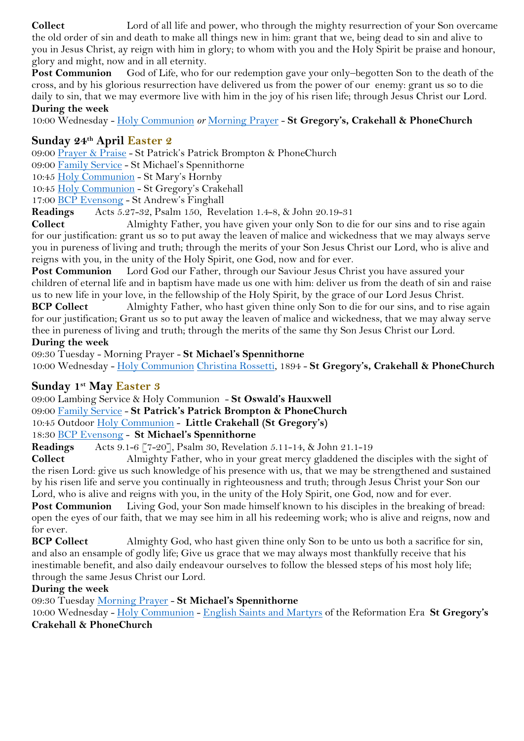**Collect** Lord of all life and power, who through the mighty resurrection of your Son overcame the old order of sin and death to make all things new in him: grant that we, being dead to sin and alive to you in Jesus Christ, ay reign with him in glory; to whom with you and the Holy Spirit be praise and honour, glory and might, now and in all eternity.

Post Communion God of Life, who for our redemption gave your only-begotten Son to the death of the cross, and by his glorious resurrection have delivered us from the power of our enemy: grant us so to die daily to sin, that we may evermore live with him in the joy of his risen life; through Jesus Christ our Lord. **During the week**

10:00 Wednesday - [Holy Communion](https://mcusercontent.com/12899794d9e1699ab1c44b3c6/files/24f353a0-39f8-4141-87ab-38a908e48757/Holy_Communion_Dispora.pdf) *or* [Morning Prayer](https://mcusercontent.com/12899794d9e1699ab1c44b3c6/files/8a93e577-4704-40fb-97a4-2e59f79af6d4/LW_Morning_Prayer.pdf) - **St Gregory's, Crakehall & PhoneChurch**

# **Sunday 24th April Easter 2**

09:00 [Prayer & Praise](https://mcusercontent.com/12899794d9e1699ab1c44b3c6/files/9251d3af-5ff4-440f-b21c-3bf83ab9b7b9/Prayer_Praise.pdf) - St Patrick's Patrick Brompton & PhoneChurch

09:00 [Family Service](https://mcusercontent.com/12899794d9e1699ab1c44b3c6/files/df82c677-08a5-ace8-1b5f-4735249583e1/Family_Service_2021.pdf) - St Michael's Spennithorne

10:45 [Holy Communion](https://mcusercontent.com/12899794d9e1699ab1c44b3c6/files/24f353a0-39f8-4141-87ab-38a908e48757/Holy_Communion_Dispora.pdf) - St Mary's Hornby

10:45 [Holy Communion](https://mcusercontent.com/12899794d9e1699ab1c44b3c6/files/24f353a0-39f8-4141-87ab-38a908e48757/Holy_Communion_Dispora.pdf) - St Gregory's Crakehall

17:00 [BCP Evensong](https://mcusercontent.com/12899794d9e1699ab1c44b3c6/files/5cb34800-0405-4327-b2a1-fd43b3a7fefd/BCP_Evensong_Diaspora.pdf) - St Andrew's Finghall

**Readings** Acts 5.27-32, Psalm 150, Revelation 1.4-8, & John 20.19-31

**Collect** Almighty Father, you have given your only Son to die for our sins and to rise again for our justification: grant us so to put away the leaven of malice and wickedness that we may always serve you in pureness of living and truth; through the merits of your Son Jesus Christ our Lord, who is alive and reigns with you, in the unity of the Holy Spirit, one God, now and for ever.

**Post Communion** Lord God our Father, through our Saviour Jesus Christ you have assured your children of eternal life and in baptism have made us one with him: deliver us from the death of sin and raise us to new life in your love, in the fellowship of the Holy Spirit, by the grace of our Lord Jesus Christ.

**BCP Collect** Almighty Father, who hast given thine only Son to die for our sins, and to rise again for our justification; Grant us so to put away the leaven of malice and wickedness, that we may alway serve thee in pureness of living and truth; through the merits of the same thy Son Jesus Christ our Lord.

#### **During the week**

09:30 Tuesday - Morning Prayer - **St Michael's Spennithorne**

10:00 Wednesday - [Holy Communion](https://mcusercontent.com/12899794d9e1699ab1c44b3c6/files/24f353a0-39f8-4141-87ab-38a908e48757/Holy_Communion_Dispora.pdf) [Christina Rossetti,](http://www.excitingholiness.org/first-edition/index.cgi?m04/d27.html) 1894 - **St Gregory's, Crakehall & PhoneChurch**

# **Sunday 1st May Easter 3**

09:00 Lambing Service & Holy Communion - **St Oswald's Hauxwell**

09:00 [Family Service](https://mcusercontent.com/12899794d9e1699ab1c44b3c6/files/df82c677-08a5-ace8-1b5f-4735249583e1/Family_Service_2021.pdf) - **St Patrick's Patrick Brompton & PhoneChurch**

10:45 Outdoor [Holy Communion](https://mcusercontent.com/12899794d9e1699ab1c44b3c6/files/24f353a0-39f8-4141-87ab-38a908e48757/Holy_Communion_Dispora.pdf) - **Little Crakehall (St Gregory's)**

# 18:30 [BCP Evensong](https://mcusercontent.com/12899794d9e1699ab1c44b3c6/files/5cb34800-0405-4327-b2a1-fd43b3a7fefd/BCP_Evensong_Diaspora.pdf) - **St Michael's Spennithorne**

**Readings** Acts 9.1-6 [7-20], Psalm 30, Revelation 5.11-14, & John 21.1-19

**Collect** Almighty Father, who in your great mercy gladdened the disciples with the sight of the risen Lord: give us such knowledge of his presence with us, that we may be strengthened and sustained by his risen life and serve you continually in righteousness and truth; through Jesus Christ your Son our Lord, who is alive and reigns with you, in the unity of the Holy Spirit, one God, now and for ever.

**Post Communion** Living God, your Son made himself known to his disciples in the breaking of bread: open the eyes of our faith, that we may see him in all his redeeming work; who is alive and reigns, now and for ever.

**BCP Collect** Almighty God, who hast given thine only Son to be unto us both a sacrifice for sin, and also an ensample of godly life; Give us grace that we may always most thankfully receive that his inestimable benefit, and also daily endeavour ourselves to follow the blessed steps of his most holy life; through the same Jesus Christ our Lord.

# **During the week**

09:30 Tuesday [Morning Prayer](https://mcusercontent.com/12899794d9e1699ab1c44b3c6/files/8a93e577-4704-40fb-97a4-2e59f79af6d4/LW_Morning_Prayer.pdf) - **St Michael's Spennithorne**

10:00 Wednesday - [Holy Communion](https://mcusercontent.com/12899794d9e1699ab1c44b3c6/files/24f353a0-39f8-4141-87ab-38a908e48757/Holy_Communion_Dispora.pdf) - [English Saints and Martyrs](http://www.excitingholiness.org/first-edition/index.cgi?m05/d04.html) of the Reformation Era **St Gregory's Crakehall & PhoneChurch**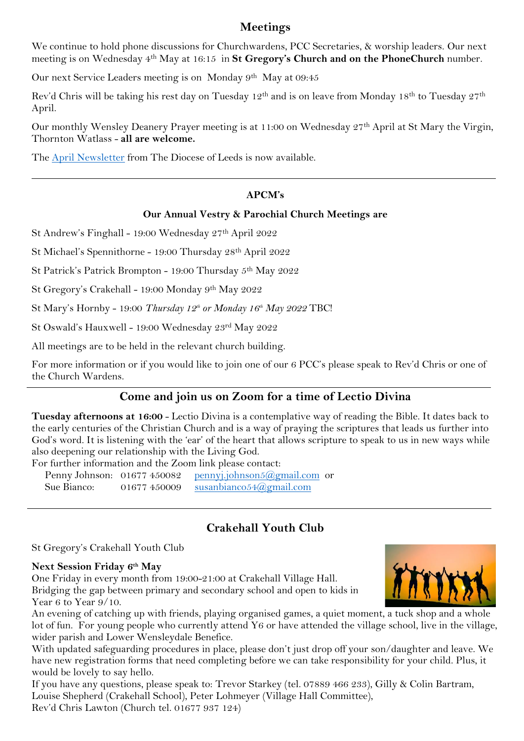# **Meetings**

We continue to hold phone discussions for Churchwardens, PCC Secretaries, & worship leaders. Our next meeting is on Wednesday 4th May at 16:15 in **St Gregory's Church and on the PhoneChurch** number.

Our next Service Leaders meeting is on Monday 9<sup>th</sup> May at 09:45

Rev'd Chris will be taking his rest day on Tuesday 12th and is on leave from Monday 18th to Tuesday 27th April.

Our monthly Wensley Deanery Prayer meeting is at 11:00 on Wednesday 27th April at St Mary the Virgin, Thornton Watlass - **all are welcome.**

The [April Newsletter](https://www.leeds.anglican.org/sites/default/files/leeds_bulletin_April_2022_v3.pdf) from The Diocese of Leeds is now available.

### **APCM's**

#### **Our Annual Vestry & Parochial Church Meetings are**

St Andrew's Finghall - 19:00 Wednesday 27th April 2022

St Michael's Spennithorne - 19:00 Thursday 28th April 2022

St Patrick's Patrick Brompton - 19:00 Thursday 5th May 2022

St Gregory's Crakehall - 19:00 Monday 9th May 2022

St Mary's Hornby - 19:00 *Thursday 12th or Monday 16th May 2022* TBC!

St Oswald's Hauxwell - 19:00 Wednesday 23rd May 2022

All meetings are to be held in the relevant church building.

For more information or if you would like to join one of our 6 PCC's please speak to Rev'd Chris or one of the Church Wardens.

#### **Come and join us on Zoom for a time of Lectio Divina**

**Tuesday afternoons at 16:00** - Lectio Divina is a contemplative way of reading the Bible. It dates back to the early centuries of the Christian Church and is a way of praying the scriptures that leads us further into God's word. It is listening with the 'ear' of the heart that allows scripture to speak to us in new ways while also deepening our relationship with the Living God.

For further information and the Zoom link please contact:

| Penny Johnson: 01677 450082 |              | <u>pennyj.johnson5@gmail.com</u> or     |  |
|-----------------------------|--------------|-----------------------------------------|--|
| Sue Bianco:                 | 01677 450009 | susanbianco $54$ ( <i>a</i> ) gmail.com |  |

# **Crakehall Youth Club**

St Gregory's Crakehall Youth Club

#### **Next Session Friday 6 th May**

One Friday in every month from 19:00-21:00 at Crakehall Village Hall. Bridging the gap between primary and secondary school and open to kids in Year  $6$  to Year  $9/10$ .



An evening of catching up with friends, playing organised games, a quiet moment, a tuck shop and a whole lot of fun. For young people who currently attend Y6 or have attended the village school, live in the village, wider parish and Lower Wensleydale Benefice.

With updated safeguarding procedures in place, please don't just drop off your son/daughter and leave. We have new registration forms that need completing before we can take responsibility for your child. Plus, it would be lovely to say hello.

If you have any questions, please speak to: Trevor Starkey (tel. 07889 466 233), Gilly & Colin Bartram, Louise Shepherd (Crakehall School), Peter Lohmeyer (Village Hall Committee), Rev'd Chris Lawton (Church tel. 01677 937 124)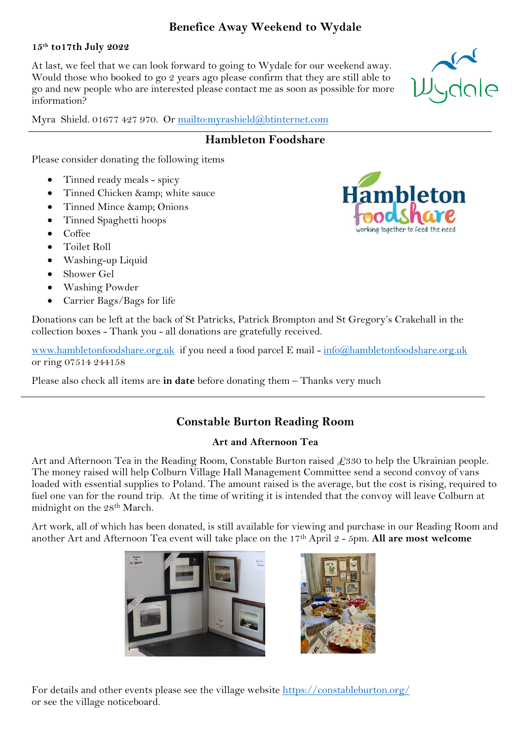# **Benefice Away Weekend to Wydale**

#### **15th to17th July 2022**

At last, we feel that we can look forward to going to Wydale for our weekend away. Would those who booked to go 2 years ago please confirm that they are still able to go and new people who are interested please contact me as soon as possible for more information?

Myra Shield. 01677 427 970. Or<mailto:myrashield@btinternet.com>

# **Hambleton Foodshare**

Please consider donating the following items

- Tinned ready meals spicy
- Tinned Chicken & amp; white sauce
- Tinned Mince & amp; Onions
- Tinned Spaghetti hoops
- Coffee
- Toilet Roll
- Washing-up Liquid
- Shower Gel
- Washing Powder
- Carrier Bags/Bags for life



Donations can be left at the back of St Patricks, Patrick Brompton and St Gregory's Crakehall in the collection boxes - Thank you - all donations are gratefully received.

[www.hambletonfoodshare.org.uk](http://www.hambletonfoodshare.org.uk/) if you need a food parcel E mail - [info@hambletonfoodshare.org.uk](info@hambletonfoodshare.org.uk%20) or ring 07514 244158

Please also check all items are **in date** before donating them – Thanks very much

# **Constable Burton Reading Room**

# **Art and Afternoon Tea**

Art and Afternoon Tea in the Reading Room, Constable Burton raised  $\mathcal{L}330$  to help the Ukrainian people. The money raised will help Colburn Village Hall Management Committee send a second convoy of vans loaded with essential supplies to Poland. The amount raised is the average, but the cost is rising, required to fuel one van for the round trip. At the time of writing it is intended that the convoy will leave Colburn at midnight on the 28th March.

Art work, all of which has been donated, is still available for viewing and purchase in our Reading Room and another Art and Afternoon Tea event will take place on the 17th April 2 - 5pm. **All are most welcome**





For details and other events please see the village website<https://constableburton.org/> or see the village noticeboard.